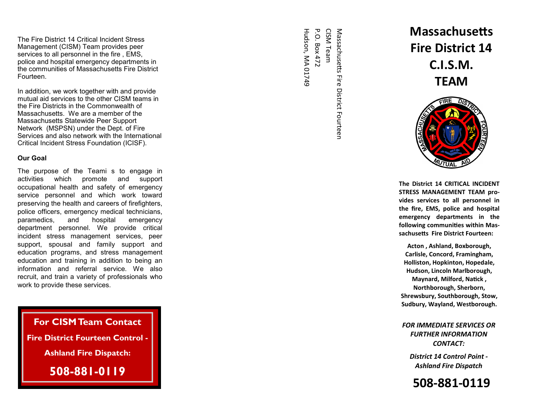The Fire District 14 Critical Incident Stress Management (CISM) Team provides peer services to all personnel in the fire , EMS, police and hospital emergency departments in the communities of Massachusetts Fire District Fourteen.

In addition, we work together with and provide mutual aid services to the other CISM teams in the Fire Districts in the Commonwealth of Massachusetts. We are a member of the Massachusetts Statewide Peer Support Network (MSPSN) under the Dept. of Fire Services and also network with the International Critical Incident Stress Foundation (ICISF).

### **Our Goal**

The purpose of the Teami s to engage in support activities which promote and occupational health and safety of emergency service personnel and which work toward preserving the health and careers of firefighters, police officers, emergency medical technicians, emergency paramedics, and hospital department personnel. We provide critical incident stress management services, peer support, spousal and family support and education programs, and stress management education and training in addition to being an information and referral service. We also recruit, and train a variety of professionals who work to provide these services.

**For CISM Team Contact Fire District Fourteen Control - Ashland Fire Dispatch: 508-881-0119** 

Hudson, MA 01749 Hudson, MA 01749 P.O. Box 472 P.O. Box 472 CISM Team Massachusetts Fire District Fourteen Massachusetts Fire District Fourteen

# **Massachusetts Fire District 14 C.I.S.M. TEAM**



**The District 14 CRITICAL INCIDENT STRESS MANAGEMENT TEAM provides services to all personnel in the fire, EMS, police and hospital emergency departments in the** following communities within Massachusetts Fire District Fourteen:

**Acton , Ashland, Boxborough, Carlisle, Concord, Framingham, Holliston, Hopkinton, Hopedale, Hudson, Lincoln Marlborough, Maynard, Milford, Natick, Northborough, Sherborn, Shrewsbury, Southborough, Stow, Sudbury, Wayland, Westborough.** 

*FOR IMMEDIATE SERVICES OR FURTHER INFORMATION CONTACT:* 

*District 14 Control Point - Ashland Fire Dispatch*